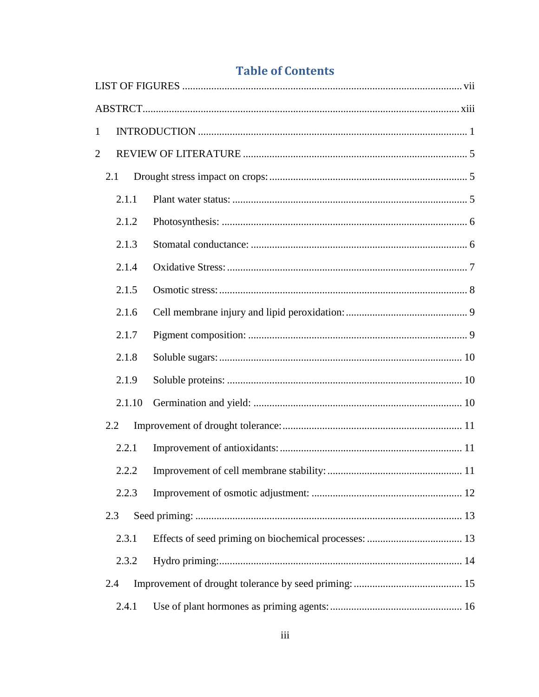| $\mathbf{1}$   |  |
|----------------|--|
| $\overline{2}$ |  |
| 2.1            |  |
| 2.1.1          |  |
| 2.1.2          |  |
| 2.1.3          |  |
| 2.1.4          |  |
| 2.1.5          |  |
| 2.1.6          |  |
| 2.1.7          |  |
| 2.1.8          |  |
| 2.1.9          |  |
| 2.1.10         |  |
| 2.2            |  |
| 2.2.1          |  |
| 2.2.2          |  |
| 2.2.3          |  |
| 2.3            |  |
| 2.3.1          |  |
| 2.3.2          |  |
| 2.4            |  |
| 2.4.1          |  |

## **Table of Contents**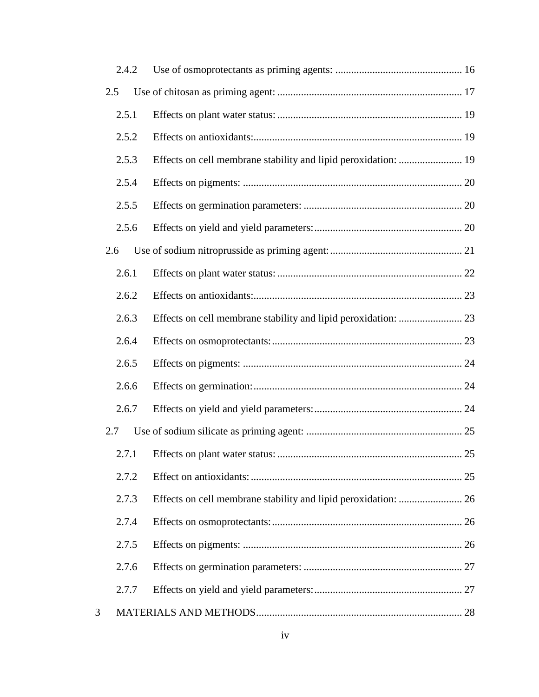|   |     | 2.4.2 |  |
|---|-----|-------|--|
|   | 2.5 |       |  |
|   |     | 2.5.1 |  |
|   |     | 2.5.2 |  |
|   |     | 2.5.3 |  |
|   |     | 2.5.4 |  |
|   |     | 2.5.5 |  |
|   |     | 2.5.6 |  |
|   | 2.6 |       |  |
|   |     | 2.6.1 |  |
|   |     | 2.6.2 |  |
|   |     | 2.6.3 |  |
|   |     | 2.6.4 |  |
|   |     | 2.6.5 |  |
|   |     | 2.6.6 |  |
|   |     | 2.6.7 |  |
|   | 2.7 |       |  |
|   |     | 2.7.1 |  |
|   |     | 2.7.2 |  |
|   |     | 2.7.3 |  |
|   |     | 2.7.4 |  |
|   |     | 2.7.5 |  |
|   |     | 2.7.6 |  |
|   |     | 2.7.7 |  |
| 3 |     |       |  |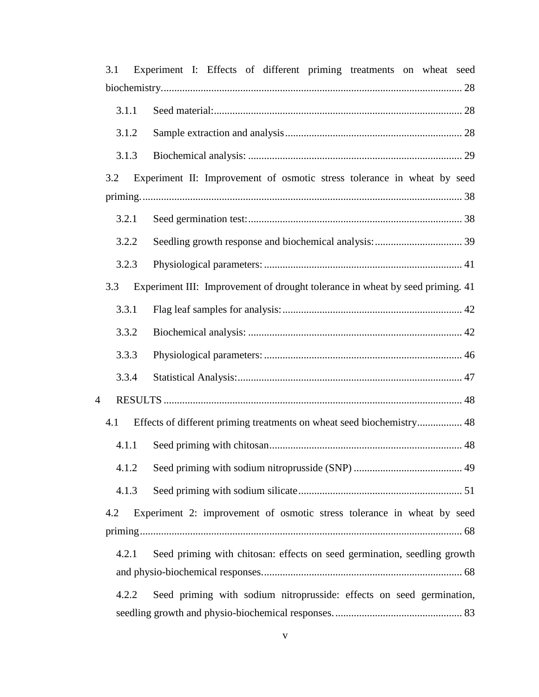| 3.1 |       | Experiment I: Effects of different priming treatments on wheat seed           |
|-----|-------|-------------------------------------------------------------------------------|
|     |       |                                                                               |
|     | 3.1.1 |                                                                               |
|     | 3.1.2 |                                                                               |
|     | 3.1.3 |                                                                               |
| 3.2 |       | Experiment II: Improvement of osmotic stress tolerance in wheat by seed       |
|     | 3.2.1 |                                                                               |
|     | 3.2.2 |                                                                               |
|     | 3.2.3 |                                                                               |
| 3.3 |       | Experiment III: Improvement of drought tolerance in wheat by seed priming. 41 |
|     | 3.3.1 |                                                                               |
|     | 3.3.2 |                                                                               |
|     | 3.3.3 |                                                                               |
|     | 3.3.4 |                                                                               |
| 4   |       |                                                                               |
| 4.1 |       | Effects of different priming treatments on wheat seed biochemistry 48         |
|     | 4.1.1 |                                                                               |
|     | 4.1.2 |                                                                               |
|     | 4.1.3 |                                                                               |
| 4.2 |       | Experiment 2: improvement of osmotic stress tolerance in wheat by seed        |
|     |       |                                                                               |
|     | 4.2.1 | Seed priming with chitosan: effects on seed germination, seedling growth      |
|     |       |                                                                               |
|     | 4.2.2 | Seed priming with sodium nitroprusside: effects on seed germination,          |
|     |       |                                                                               |